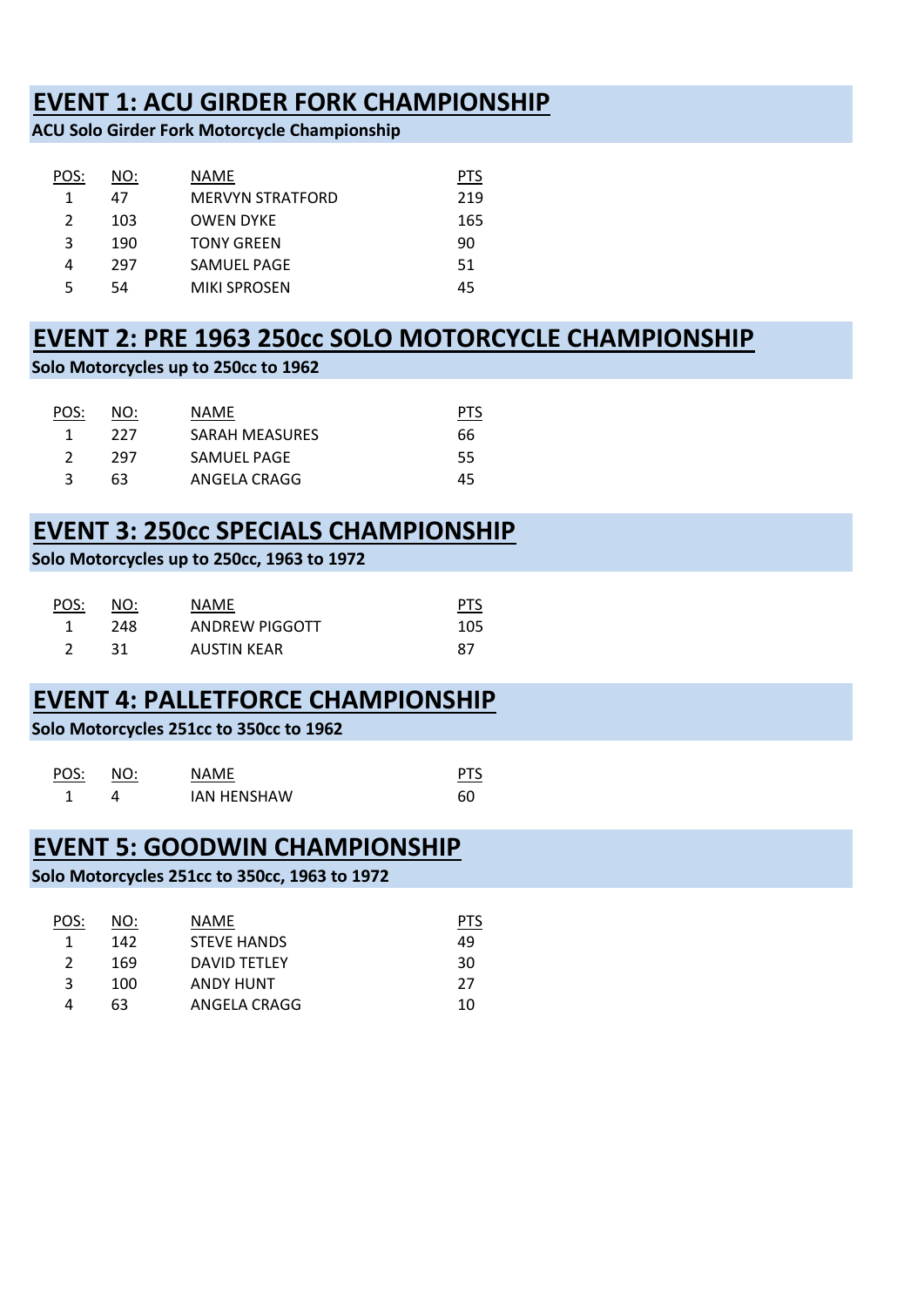### **EVENT 1: ACU GIRDER FORK CHAMPIONSHIP**

**ACU Solo Girder Fork Motorcycle Championship**

| NO: | NAME                    | PIS |
|-----|-------------------------|-----|
| 47  | <b>MERVYN STRATFORD</b> | 219 |
| 103 | <b>OWEN DYKE</b>        | 165 |
| 190 | <b>TONY GREEN</b>       | 90  |
| 297 | SAMUEL PAGE             | .51 |
| 54  | <b>MIKI SPROSEN</b>     | 45  |
|     |                         |     |

# **EVENT 2: PRE 1963 250cc SOLO MOTORCYCLE CHAMPIONSHIP**

**Solo Motorcycles up to 250cc to 1962**

| POS: | NO: | NAME.                 | PTS |
|------|-----|-----------------------|-----|
|      | 227 | <b>SARAH MEASURES</b> | 66  |
|      | 297 | SAMUEL PAGE           | 55  |
|      | 63  | ANGELA CRAGG          | 45  |

# **EVENT 3: 250cc SPECIALS CHAMPIONSHIP**

### **Solo Motorcycles up to 250cc, 1963 to 1972**

| POS: | NO: | NAME               | <b>PTS</b> |
|------|-----|--------------------|------------|
|      | 248 | ANDREW PIGGOTT     | 105        |
|      | 31  | <b>AUSTIN KEAR</b> | 87         |

# **EVENT 4: PALLETFORCE CHAMPIONSHIP**

**Solo Motorcycles 251cc to 350cc to 1962**

| POS: | NO: | <b>NAMF</b>        |    |
|------|-----|--------------------|----|
|      |     | <b>JAN HENSHAW</b> | 60 |

### **EVENT 5: GOODWIN CHAMPIONSHIP**

#### **Solo Motorcycles 251cc to 350cc, 1963 to 1972**

| POS: | NO: | NAME               | <b>PTS</b> |
|------|-----|--------------------|------------|
|      | 142 | <b>STEVE HANDS</b> | 49         |
|      | 169 | DAVID TETLEY       | 30         |
| ર    | 100 | <b>ANDY HUNT</b>   | 27         |
|      | 63  | ANGELA CRAGG       | 10         |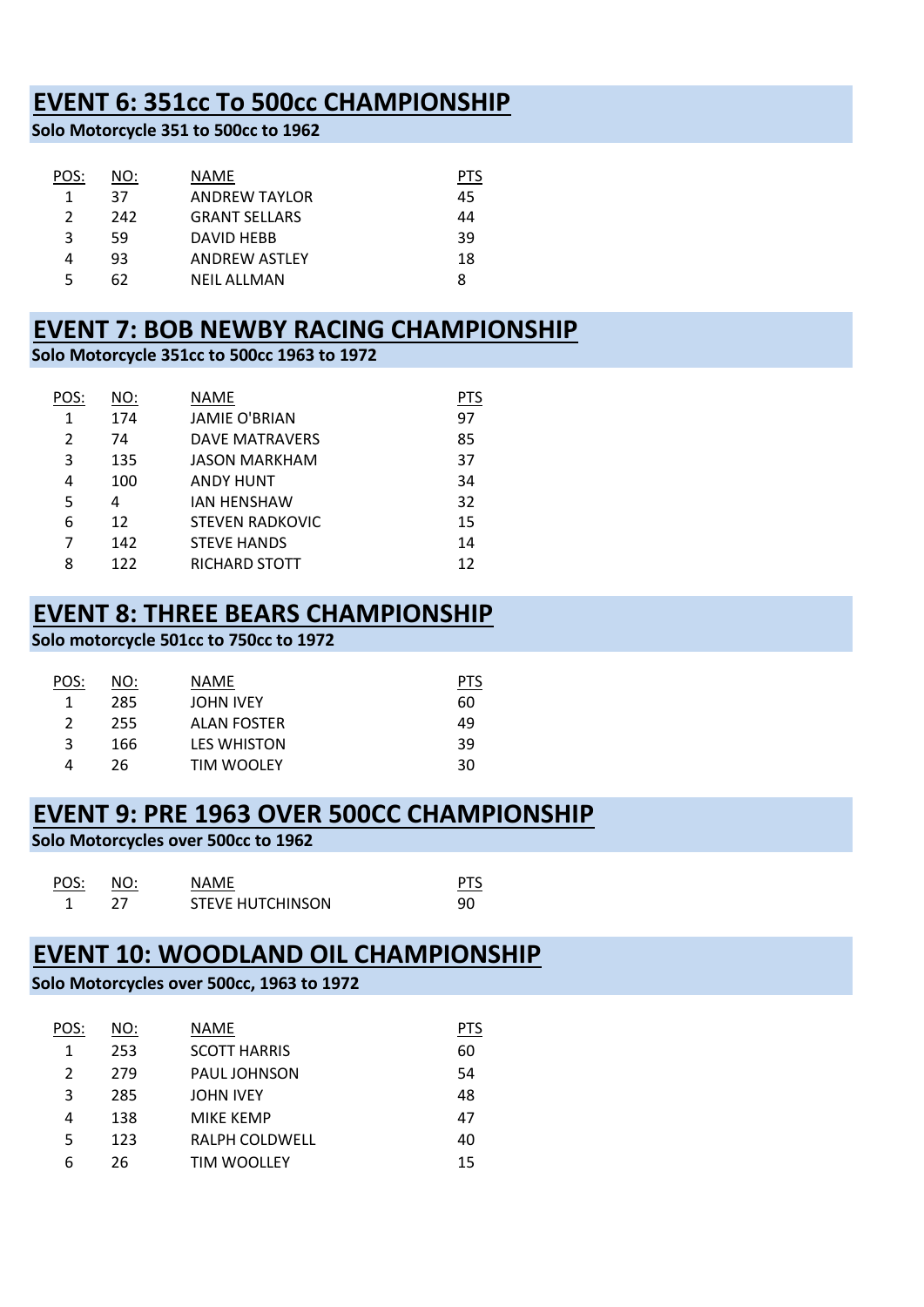## **EVENT 6: 351cc To 500cc CHAMPIONSHIP**

**Solo Motorcycle 351 to 500cc to 1962**

| NO: | NAME                 | PIS |
|-----|----------------------|-----|
| 37  | <b>ANDREW TAYLOR</b> | 45  |
| 242 | <b>GRANT SELLARS</b> | 44  |
| 59  | DAVID HEBB           | 39  |
| 93  | <b>ANDREW ASTLEY</b> | 18  |
| 62  | NFIL ALLMAN          | 8   |
|     |                      |     |

### **EVENT 7: BOB NEWBY RACING CHAMPIONSHIP**

**Solo Motorcycle 351cc to 500cc 1963 to 1972**

| POS:           | NO: | NAME                   | PTS |
|----------------|-----|------------------------|-----|
| 1              | 174 | <b>JAMIE O'BRIAN</b>   | 97  |
| 2              | 74  | <b>DAVE MATRAVERS</b>  | 85  |
| 3              | 135 | <b>JASON MARKHAM</b>   | 37  |
| 4              | 100 | <b>ANDY HUNT</b>       | 34  |
| 5              | 4   | <b>JAN HENSHAW</b>     | 32  |
| 6              | 12  | <b>STEVEN RADKOVIC</b> | 15  |
| $\overline{7}$ | 142 | <b>STEVE HANDS</b>     | 14  |
| 8              | 122 | RICHARD STOTT          | 12  |

### **EVENT 8: THREE BEARS CHAMPIONSHIP**

**Solo motorcycle 501cc to 750cc to 1972**

| <u>POS:</u> | NO: | NAME               | PTS |
|-------------|-----|--------------------|-----|
|             | 285 | <b>JOHN IVEY</b>   | 60  |
| 2           | 255 | ALAN FOSTER        | 49  |
| 3           | 166 | <b>LES WHISTON</b> | 39  |
|             | 26  | <b>TIM WOOLEY</b>  | 30  |

### **EVENT 9: PRE 1963 OVER 500CC CHAMPIONSHIP**

**Solo Motorcycles over 500cc to 1962**

| POS: | NO: | <b>NAMF</b>             |    |
|------|-----|-------------------------|----|
|      |     | <b>STEVE HUTCHINSON</b> | 90 |

### **EVENT 10: WOODLAND OIL CHAMPIONSHIP**

### **Solo Motorcycles over 500cc, 1963 to 1972**

| POS: | NO: | NAME                  | <b>PTS</b> |
|------|-----|-----------------------|------------|
| 1    | 253 | <b>SCOTT HARRIS</b>   | 60         |
| 2    | 279 | <b>PAUL JOHNSON</b>   | 54         |
| 3    | 285 | <b>JOHN IVEY</b>      | 48         |
| 4    | 138 | <b>MIKE KEMP</b>      | 47         |
| 5    | 123 | <b>RALPH COLDWELL</b> | 40         |
| 6    | 26  | <b>TIM WOOLLEY</b>    | 15         |
|      |     |                       |            |